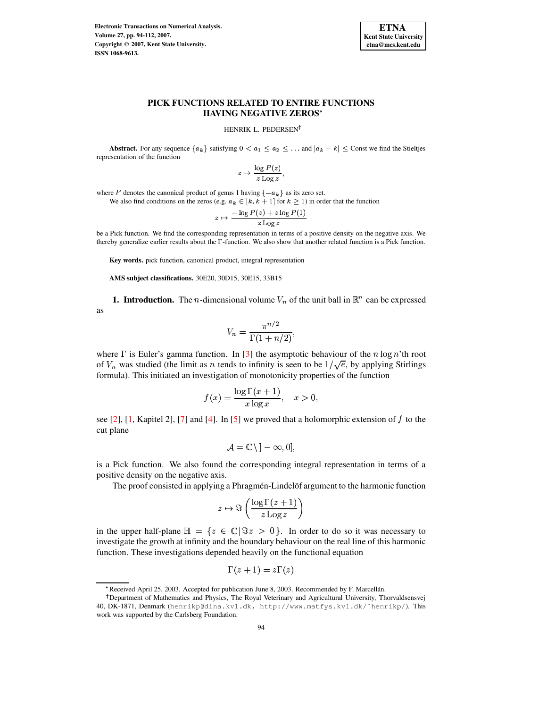**Electronic Transactions on Numerical Analysis. Volume 27, pp. 94-112, 2007. Copyright 2007, Kent State University. ISSN 1068-9613.**



# **PICK FUNCTIONS RELATED TO ENTIRE FUNCTIONS HAVING NEGATIVE ZEROS**

HENRIK L. PEDERSEN<sup>†</sup>

**Abstract.** For any sequence  $\{a_k\}$  satisfying  $0 < a_1 \le a_2 \le \ldots$  and  $|a_k - k| \le$  Const we find the Stieltjes representation of the function

$$
z\mapsto \frac{\log P(z)}{z\operatorname{Log} z},
$$

where P denotes the canonical product of genus 1 having  $\{-a_k\}$  as its zero set.

We also find conditions on the zeros (e.g.  $a_k \in [k, k+1]$  for  $k \ge 1$ ) in order that the function

$$
z \mapsto \frac{-\log P(z) + z \log P(1)}{z \log z}
$$

be a Pick function. We find the corresponding representation in terms of a positive density on the negative axis. We thereby generalize earlier results about the  $\Gamma$ -function. We also show that another related function is a Pick function.

**Key words.** pick function, canonical product, integral representation

**AMS subject classifications.** 30E20, 30D15, 30E15, 33B15

**1. Introduction.** The *n*-dimensional volume  $V_n$  of the unit ball in  $\mathbb{R}^n$  can be expressed as

$$
V_n = \frac{\pi^{n/2}}{\Gamma(1+n/2)},
$$

where  $\Gamma$  is Euler's gamma function. In [\[3\]](#page-18-0) the asymptotic behaviour of the  $n \log n$ 'th root of  $V_n$  was studied (the limit as n tends to infinity is seen to be  $1/\sqrt{e}$ , by applying Stirlings formula). This initiated an investigation of monotonicity properties of the function

$$
f(x) = \frac{\log \Gamma(x+1)}{x \log x}, \quad x > 0,
$$

see [\[2\]](#page-18-1), [\[1,](#page-18-2) Kapitel 2], [\[7\]](#page-18-3) and [\[4\]](#page-18-4). In [\[5\]](#page-18-5) we proved that a holomorphic extension of  $f$  to the cut plane

$$
\mathcal{A}=\mathbb{C}\,\backslash\,]-\infty,0],
$$

is a Pick function. We also found the corresponding integral representation in terms of a positive density on the negative axis.

The proof consisted in applying a Phragmen-Lindel of argument to the harmonic function

$$
z \mapsto \Im\left(\frac{\log \Gamma(z+1)}{z \log z}\right)
$$

in the upper half-plane  $\mathbb{H} = \{z \in \mathbb{C} | \Im z > 0\}$ . In order to do so it was necessary to investigate the growth at infinity and the boundary behaviour on the real line of this harmonic function. These investigations depended heavily on the functional equation

$$
\Gamma(z+1)=z\Gamma(z)
$$

<sup>\*</sup> Received April 25, 2003. Accepted for publication June 8, 2003. Recommended by F. Marcellán.

<sup>&</sup>lt;sup>†</sup> Department of Mathematics and Physics, The Royal Veterinary and Agricultural University, Thorvaldsensvej 40, DK-1871, Denmark (henrikp@dina.kvl.dk, http://www.matfys.kvl.dk/˜henrikp/). This work was supported by the Carlsberg Foundation.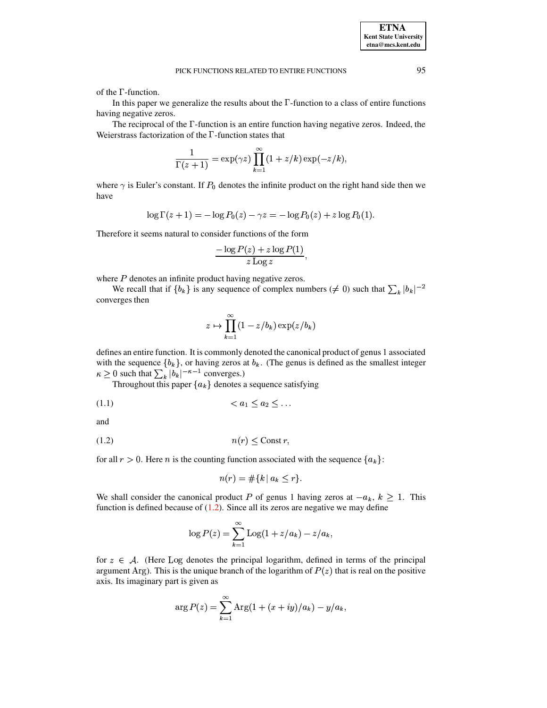of the  $\Gamma$ -function.

In this paper we generalize the results about the  $\Gamma$ -function to a class of entire functions having negative zeros.

The reciprocal of the  $\Gamma$ -function is an entire function having negative zeros. Indeed, the Weierstrass factorization of the  $\Gamma$ -function states that

$$
\frac{1}{\Gamma(z+1)} = \exp(\gamma z) \prod_{k=1}^{\infty} (1 + z/k) \exp(-z/k),
$$

where  $\gamma$  is Euler's constant. If  $P_0$  denotes the infinite product on the right hand side then we have

$$
\log \Gamma(z+1) = -\log P_0(z) - \gamma z = -\log P_0(z) + z \log P_0(1).
$$

Therefore it seems natural to consider functions of the form

$$
\frac{-\log P(z)+z\log P(1)}{z\operatorname{Log} z},
$$

where  $P$  denotes an infinite product having negative zeros.

We recall that if  $\{b_k\}$  is any sequence of complex numbers ( $\neq 0$ ) such that  $\sum_k |b_k|^{-2}$ converges then

<span id="page-1-1"></span>
$$
z \mapsto \prod_{k=1}^{\infty} (1 - z/b_k) \exp(z/b_k)
$$

defines an entire function. It is commonly denoted the canonical product of genus 1 associated with the sequence  $\{b_k\}$ , or having zeros at  $b_k$ . (The genus is defined as the smallest integer  $\kappa \ge 0$  such that  $\sum_k |b_k|^{-\kappa-1}$  converges.)  $1$  converges.)

Throughout this paper  ${a_k}$  denotes a sequence satisfying

$$
(1.1) \qquad \qquad < a_1 \leq a_2 \leq \dots
$$

<span id="page-1-0"></span>and

$$
(1.2)\qquad \qquad n(r) \leq \text{Const } r,
$$

for all  $r > 0$ . Here *n* is the counting function associated with the sequence  ${a_k}$ :

$$
n(r) = \#\{k \mid a_k \leq r\}.
$$

We shall consider the canonical product P of genus 1 having zeros at  $-a_k$ ,  $k \geq 1$ . This function is defined because of  $(1.2)$ . Since all its zeros are negative we may define

$$
\log P(z) = \sum_{k=1}^{\infty} \mathrm{Log}(1 + z/a_k) - z/a_k,
$$

for  $z \in A$ . (Here Log denotes the principal logarithm, defined in terms of the principal argument Arg). This is the unique branch of the logarithm of  $P(z)$  that is real on the positive axis. Its imaginary part is given as

$$
\arg P(z) = \sum_{k=1}^{\infty} \text{Arg}(1 + (x + iy)/a_k) - y/a_k,
$$

**ETNA Kent State University etna@mcs.kent.edu**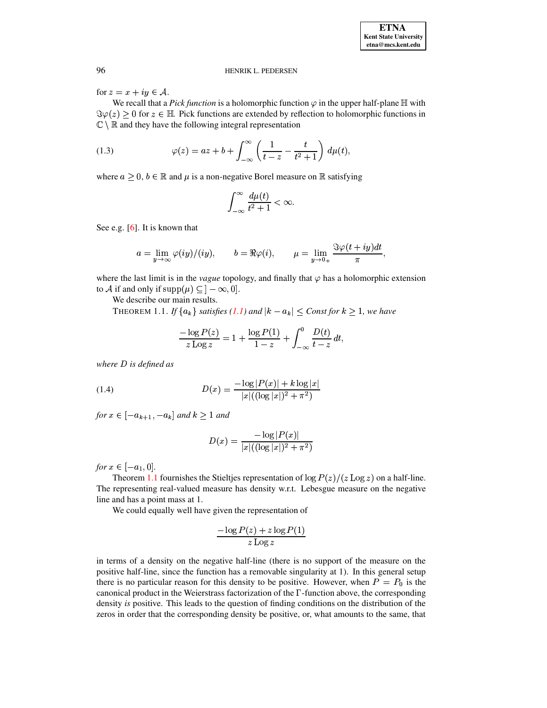for  $z = x + iy \in A$ .

We recall that a *Pick function* is a holomorphic function  $\varphi$  in the upper half-plane  $\mathbb H$  with  $\Im \varphi(z) > 0$  for  $z \in \mathbb{H}$ . Pick functions are extended by reflection to holomorphic functions in  $\mathbb{C} \setminus \mathbb{R}$  and they have the following integral representation

(1.3) 
$$
\varphi(z) = az + b + \int_{-\infty}^{\infty} \left( \frac{1}{t - z} - \frac{t}{t^2 + 1} \right) d\mu(t),
$$

where  $a \geq 0$ ,  $b \in \mathbb{R}$  and  $\mu$  is a non-negative Borel measure on  $\mathbb{R}$  satisfying

<span id="page-2-1"></span>
$$
\int_{-\infty}^{\infty} \frac{d\mu(t)}{t^2 + 1} < \infty.
$$

See e.g.  $[6]$ . It is known that

$$
a = \lim_{y \to \infty} \varphi(iy)/(iy), \qquad b = \Re \varphi(i), \qquad \mu = \lim_{y \to 0_+} \frac{\Im \varphi(t + iy) dt}{\pi},
$$

where the last limit is in the *vague* topology, and finally that  $\varphi$  has a holomorphic extension to A if and only if  $supp(\mu) \subseteq ]-\infty,0].$ 

We describe our main results.

THEOREM 1.1. If  $\{a_k\}$  satisfies (1.1) and  $|k - a_k| \leq$  Const for  $k \geq 1$ , we have

<span id="page-2-0"></span>
$$
\frac{-\log P(z)}{z \operatorname{Log} z} = 1 + \frac{\log P(1)}{1-z} + \int_{-\infty}^{0} \frac{D(t)}{t-z} dt,
$$

<span id="page-2-2"></span>where  $D$  is defined as

(1.4) 
$$
D(x) = \frac{-\log |P(x)| + k \log |x|}{|x|((\log |x|)^2 + \pi^2)}
$$

for  $x \in [-a_{k+1}, -a_k]$  and  $k \ge 1$  and

$$
D(x) = \frac{-\log|P(x)|}{|x|((\log|x|)^2 + \pi^2)}
$$

*for*  $x \in [-a_1, 0].$ 

Theorem 1.1 fournishes the Stieltjes representation of  $\log P(z)/(z \log z)$  on a half-line. The representing real-valued measure has density w.r.t. Lebesgue measure on the negative line and has a point mass at 1.

We could equally well have given the representation of

$$
\frac{-\log P(z) + z \log P(1)}{z \log z}
$$

in terms of a density on the negative half-line (there is no support of the measure on the positive half-line, since the function has a removable singularity at 1). In this general setup there is no particular reason for this density to be positive. However, when  $P = P_0$  is the canonical product in the Weierstrass factorization of the  $\Gamma$ -function above, the corresponding density is positive. This leads to the question of finding conditions on the distribution of the zeros in order that the corresponding density be positive, or, what amounts to the same, that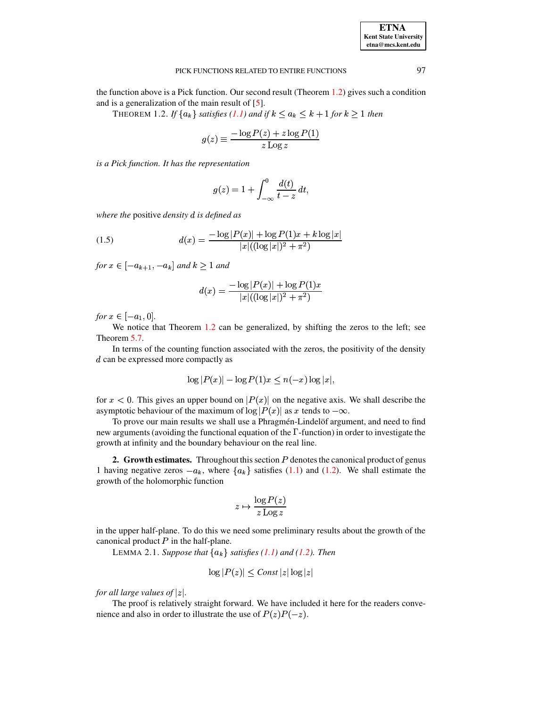# PICK FUNCTIONS RELATED TO ENTIRE FUNCTIONS 97

<span id="page-3-0"></span>the function above is a Pick function. Our second result (Theorem  $1.2$ ) gives such a condition and is a generalization of the main result of [\[5\]](#page-18-5).

THEOREM 1.2. *If*  $\{a_k\}$  *satisfies* [\(1.1\)](#page-1-1) and if  $k \le a_k \le k + 1$  for  $k \ge 1$  then

$$
g(z) \equiv \frac{-\log P(z) + z \log P(1)}{z \log z}
$$

*is a Pick function. It has the representation*

<span id="page-3-2"></span>
$$
g(z) = 1 + \int_{-\infty}^{0} \frac{d(t)}{t - z} dt,
$$

*where the* positive *density* <sup>¹</sup> *is defined as*

(1.5) 
$$
d(x) = \frac{-\log|P(x)| + \log P(1)x + k \log|x|}{|x|((\log|x|)^2 + \pi^2)}
$$

*for*  $x \in [-a_{k+1}, -a_k]$  and  $k \ge 1$  and

$$
d(x) = \frac{-\log |P(x)| + \log P(1)x}{|x|((\log |x|)^2 + \pi^2)}
$$

*for*  $x \in [-a_1, 0]$ .

 $s \in [-a_1, 0]$ .<br>We notice that Theorem [1.2](#page-3-0) can be generalized, by shifting the zeros to the left; see Theorem [5.7.](#page-16-0)

In terms of the counting function associated with the zeros, the positivity of the density  $d$  can be expressed more compactly as

$$
\log|P(x)| - \log P(1)x \le n(-x)\log|x|,
$$

for  $x < 0$ . This gives an upper bound on  $|P(x)|$  on the negative axis. We shall describe the asymptotic behaviour of the maximum of  $\log |P(x)|$  as x tends to  $-\infty$ .

To prove our main results we shall use a Phragmen-Lindel of argument, and need to find new arguments (avoiding the functional equation of the  $\Gamma$ -function) in order to investigate the growth at infinity and the boundary behaviour on the real line.

**2. Growth estimates.** Throughout this section P denotes the canonical product of genus 1 having negative zeros  $-a_k$ , where  $\{a_k\}$  satisfies [\(1.1\)](#page-1-1) and [\(1.2\)](#page-1-0). We shall estimate the growth of the holomorphic function

$$
z \mapsto \frac{\log P(z)}{z \log z}
$$

<span id="page-3-1"></span>in the upper half-plane. To do this we need some preliminary results about the growth of the canonical product  $P$  in the half-plane.

LEMMA 2.1. Suppose that  ${a_k}$  satisfies  $(1.1)$  and  $(1.2)$ *. Then* 

$$
\log|P(z)| \leq Const |z| \log|z|
$$

*for all large values of*  $|z|$ .

The proof is relatively straight forward. We have included it here for the readers convenience and also in order to illustrate the use of  $P(z)P(-z)$ .

**ETNA Kent State University etna@mcs.kent.edu**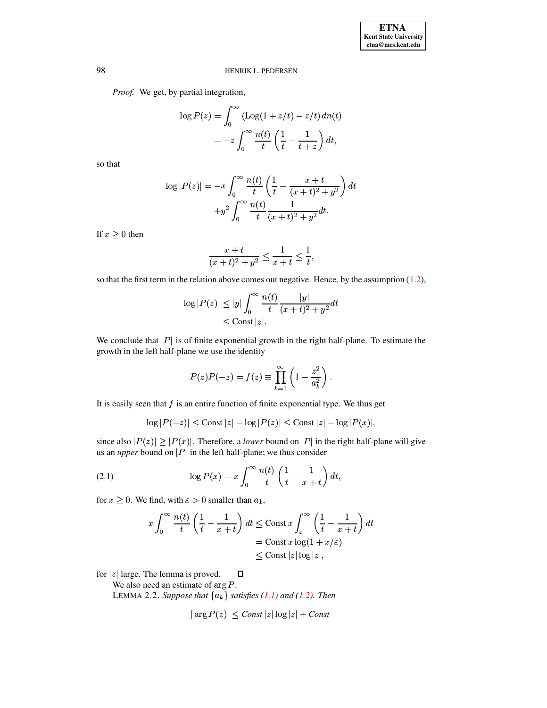*Proof.* We get, by partial integration,

$$
\log P(z) = \int_0^\infty \left( \log(1 + z/t) - z/t \right) dn(t)
$$
  
= 
$$
-z \int_0^\infty \frac{n(t)}{t} \left( \frac{1}{t} - \frac{1}{t+z} \right) dt,
$$

so that

$$
\log |P(z)| = -x \int_0^\infty \frac{n(t)}{t} \left( \frac{1}{t} - \frac{x+t}{(x+t)^2 + y^2} \right) dt + y^2 \int_0^\infty \frac{n(t)}{t} \frac{1}{(x+t)^2 + y^2} dt.
$$

If  $x \geq 0$  then

$$
\frac{x+t}{(x+t)^2+y^2}\leq \frac{1}{x+t}\leq \frac{1}{t},
$$

so that the first term in the relation above comes out negative. Hence, by the assumption  $(1.2)$ ,

$$
\log |P(z)| \le |y| \int_0^\infty \frac{n(t)}{t} \frac{|y|}{(x+t)^2 + y^2} dt
$$
  

$$
\le \text{Const } |z|.
$$

We conclude that  $|P|$  is of finite exponential growth in the right half-plane. To estimate the growth in the left half-plane we use the identity

<span id="page-4-1"></span>
$$
P(z)P(-z) = f(z) \equiv \prod_{k=1}^{\infty} \left(1 - \frac{z^2}{a_k^2}\right).
$$

It is easily seen that  $f$  is an entire function of finite exponential type. We thus get

$$
\log|P(-z)| \leq \text{Const } |z| - \log|P(z)| \leq \text{Const } |z| - \log|P(x)|,
$$

since also  $|P(z)| \geq |P(x)|$ . Therefore, a *lower* bound on  $|P|$  in the right half-plane will give us an *upper* bound on  $|P|$  in the left half-plane; we thus consider

(2.1) 
$$
-\log P(x) = x \int_0^\infty \frac{n(t)}{t} \left(\frac{1}{t} - \frac{1}{x+t}\right) dt,
$$

for  $x \geq 0$ . We find, with  $\varepsilon > 0$  smaller than  $a_1$ ,

$$
x \int_0^\infty \frac{n(t)}{t} \left(\frac{1}{t} - \frac{1}{x+t}\right) dt \le \text{Const } x \int_\varepsilon^\infty \left(\frac{1}{t} - \frac{1}{x+t}\right) dt
$$
  
= Const  $x \log(1 + x/\varepsilon)$   
 $\le \text{Const } |z| \log |z|,$ 

 $\Box$ for  $|z|$  large. The lemma is proved.

We also need an estimate of  $\arg P$ .

LEMMA 2.2. *Suppose that*  ${a_k}$  *satisfies* [\(1.1\)](#page-1-1) *and* [\(1.2\)](#page-1-0)*. Then* 

<span id="page-4-0"></span>
$$
|\arg P(z)| \leq Const |z| \log |z| + Const
$$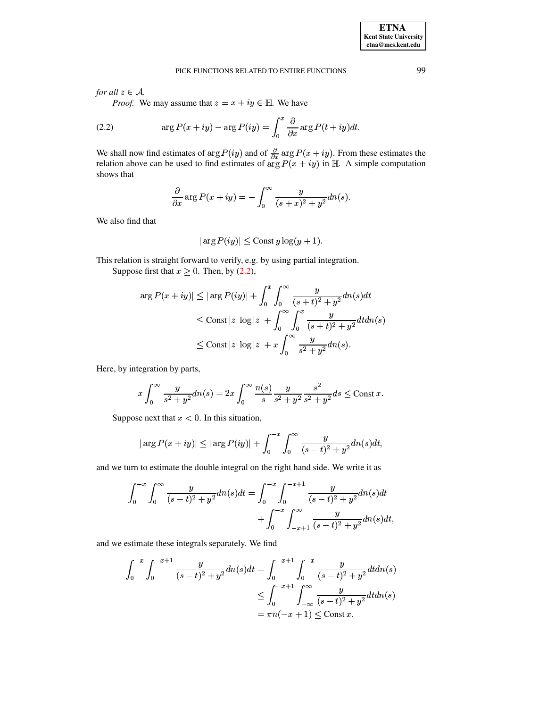for all  $z \in A$ .

*Proof.* We may assume that  $z = x + iy \in \mathbb{H}$ . We have

(2.2) 
$$
\arg P(x+iy) - \arg P(iy) = \int_0^x \frac{\partial}{\partial x} \arg P(t+iy) dt.
$$

We shall now find estimates of  $\arg P(iy)$  and of  $\frac{\partial}{\partial x} \arg P(x + iy)$ . From these estimates the relation above can be used to find estimates of  $\arg P(x + iy)$  in  $\mathbb{H}$ . A simple computation shows that

<span id="page-5-0"></span>
$$
\frac{\partial}{\partial x} \arg P(x+iy) = -\int_0^\infty \frac{y}{(s+x)^2 + y^2} dn(s).
$$

We also find that

$$
|\arg P(iy)| \leq \text{Const } y \log(y+1).
$$

This relation is straight forward to verify, e.g. by using partial integration. Suppose first that  $x \ge 0$ . Then, by (2.2),

$$
|\arg P(x+iy)| \le |\arg P(iy)| + \int_0^x \int_0^\infty \frac{y}{(s+t)^2 + y^2} dn(s) dt
$$
  

$$
\le \text{Const } |z| \log |z| + \int_0^\infty \int_0^x \frac{y}{(s+t)^2 + y^2} dt dn(s)
$$
  

$$
\le \text{Const } |z| \log |z| + x \int_0^\infty \frac{y}{s^2 + y^2} dn(s).
$$

Here, by integration by parts,

$$
x\int_0^\infty \frac{y}{s^2 + y^2} dn(s) = 2x \int_0^\infty \frac{n(s)}{s} \frac{y}{s^2 + y^2} \frac{s^2}{s^2 + y^2} ds \le \text{Const } x.
$$

Suppose next that  $x < 0$ . In this situation,

$$
|\arg P(x+iy)| \leq |\arg P(iy)| + \int_0^{-x} \int_0^{\infty} \frac{y}{(s-t)^2 + y^2} dn(s) dt,
$$

and we turn to estimate the double integral on the right hand side. We write it as

$$
\int_0^{-x} \int_0^{\infty} \frac{y}{(s-t)^2 + y^2} dn(s) dt = \int_0^{-x} \int_0^{-x+1} \frac{y}{(s-t)^2 + y^2} dn(s) dt + \int_0^{-x} \int_{-x+1}^{\infty} \frac{y}{(s-t)^2 + y^2} dn(s) dt
$$

and we estimate these integrals separately. We find

$$
\int_0^{-x} \int_0^{-x+1} \frac{y}{(s-t)^2 + y^2} dn(s) dt = \int_0^{-x+1} \int_0^{-x} \frac{y}{(s-t)^2 + y^2} dt dn(s)
$$
  

$$
\leq \int_0^{-x+1} \int_{-\infty}^{\infty} \frac{y}{(s-t)^2 + y^2} dt dn(s)
$$
  

$$
= \pi n(-x+1) \leq \text{Const } x.
$$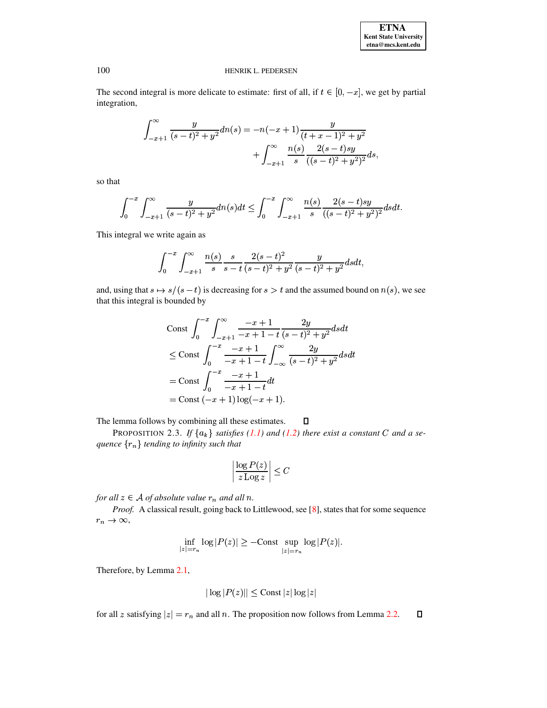The second integral is more delicate to estimate: first of all, if  $t \in [0, -x]$ , we get by partial integration,

$$
\int_{-x+1}^{\infty} \frac{y}{(s-t)^2 + y^2} dn(s) = -n(-x+1)\frac{y}{(t+x-1)^2 + y^2} + \int_{-x+1}^{\infty} \frac{n(s)}{s} \frac{2(s-t)sy}{((s-t)^2 + y^2)^2} ds,
$$

so that

$$
\int_0^{-x} \int_{-x+1}^{\infty} \frac{y}{(s-t)^2 + y^2} dn(s) dt \le \int_0^{-x} \int_{-x+1}^{\infty} \frac{n(s)}{s} \frac{2(s-t)sy}{((s-t)^2 + y^2)^2} ds dt.
$$

This integral we write again as

$$
\int_0^{-x} \int_{-x+1}^{\infty} \frac{n(s)}{s} \frac{s}{s-t} \frac{2(s-t)^2}{(s-t)^2 + y^2} \frac{y}{(s-t)^2 + y^2} dsdt,
$$

and, using that  $s \mapsto s/(s-t)$  is decreasing for  $s > t$  and the assumed bound on  $n(s)$ , we see that this integral is bounded by

$$
\begin{aligned}\n\text{Const} \int_0^{-x} \int_{-x+1}^{\infty} \frac{-x+1}{-x+1-t} \frac{2y}{(s-t)^2 + y^2} dsdt \\
&\leq \text{Const} \int_0^{-x} \frac{-x+1}{-x+1-t} \int_{-\infty}^{\infty} \frac{2y}{(s-t)^2 + y^2} dsdt \\
&= \text{Const} \int_0^{-x} \frac{-x+1}{-x+1-t} dt \\
&= \text{Const} \left( -x+1 \right) \log(-x+1).\n\end{aligned}
$$

<span id="page-6-0"></span>The lemma follows by combining all these estimates.  $\Box$ 

PROPOSITION 2.3. If  $\{a_k\}$  satisfies (1.1) and (1.2) there exist a constant C and a sequence  $\{r_n\}$  tending to infinity such that

$$
\left|\frac{\log P(z)}{z \operatorname{Log} z}\right| \le C
$$

for all  $z \in A$  of absolute value  $r_n$  and all n.

Proof. A classical result, going back to Littlewood, see [8], states that for some sequence  $r_n\to\infty,$ 

$$
\inf_{|z|=r_n}\log|P(z)|\geq -{\rm Const}\sup_{|z|=r_n}\log|P(z)|
$$

Therefore, by Lemma 2.1,

$$
|\log |P(z)|| \leq \text{Const } |z| \log |z|
$$

for all z satisfying  $|z| = r_n$  and all n. The proposition now follows from Lemma 2.2.  $\Box$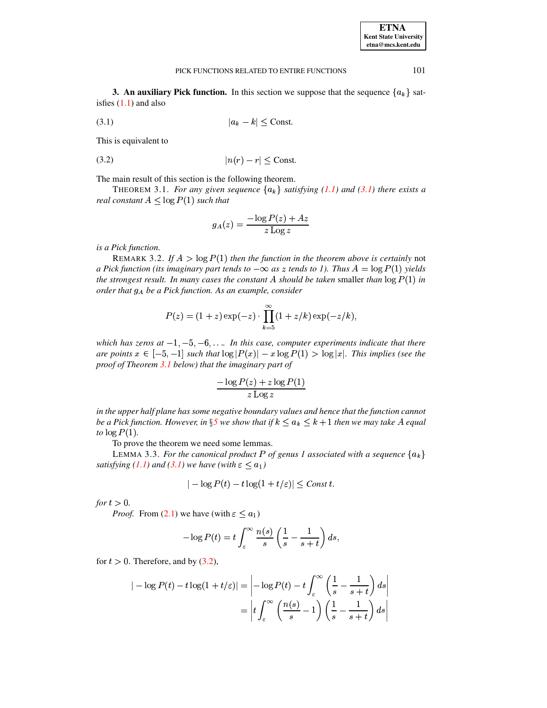<span id="page-7-0"></span>**3. An auxiliary Pick function.** In this section we suppose that the sequence  $\{a_k\}$  satisfies  $(1.1)$  and also

$$
(3.1) \t\t |a_k - k| \leq \text{Const.}
$$

<span id="page-7-2"></span>This is equivalent to

$$
(3.2) \t\t\t |n(r) - r| \leq \text{Const.}
$$

The main result of this section is the following theorem.

THEOREM 3.1. *For any given sequence*  ${a_k}$  *satisfying* [\(1.1\)](#page-1-1) *and* [\(3.1\)](#page-7-0) *there exists a real constant*  $A \leq \log P(1)$  *such that* 

<span id="page-7-1"></span>
$$
g_A(z) = \frac{-\log P(z) + A z}{z \operatorname{Log} z}
$$

<span id="page-7-4"></span>*is a Pick function.*

REMARK 3.2. If  $A > log P(1)$  then the function in the theorem above is certainly not *a* Pick function (its imaginary part tends to  $-\infty$  as z tends to 1). Thus  $A = \log P(1)$  yields *the strongest result. In many cases the constant* A *should* be taken smaller *than*  $\log P(1)$  *in order that*  $g_A$  *be a Pick function.* As *an example, consider* 

$$
P(z) = (1 + z) \exp(-z) \cdot \prod_{k=5}^{\infty} (1 + z/k) \exp(-z/k),
$$

which has zeros at  $-1, -5, -6, \ldots$  In this case, computer experiments indicate that there  $\frac{1}{2}$  are *points*  $x \in [-5, -1]$  such that  $\log |P(x)| - x \log P(1) > \log |x|$ . This implies (see the  $\frac{1}{2}$  *proof of Theorem* [3.1](#page-7-1) *below*) that the *imaginary* part *of* 

$$
\frac{-\log P(z)+z\log P(1)}{z\operatorname{Log} z}
$$

*in the upper half plane has some negative boundary values and hence that the function cannot be a Pick function. However, in*  $\S 5$  $\S 5$  *we show that if*  $k \leq a_k \leq k+1$  *then we may take*  $A$  *equal to*  $log P(1)$ .

To prove the theorem we need some lemmas.

LEMMA 3.3. For the canonical product P of genus 1 associated with a sequence  ${a_k}$ *satisfying* [\(1.1\)](#page-1-1) and [\(3.1\)](#page-7-0) we have (with  $\varepsilon \le a_1$ )

<span id="page-7-3"></span>
$$
|-\log P(t) - t \log(1 + t/\varepsilon)| \leq Const \, t.
$$

*for*  $t > 0$ *.* 

*Proof.* From [\(2.1\)](#page-4-1) we have (with  $\varepsilon \le a_1$ )

$$
-\log P(t) = t \int_{\varepsilon}^{\infty} \frac{n(s)}{s} \left( \frac{1}{s} - \frac{1}{s+t} \right) ds,
$$

for  $t > 0$ . Therefore, and by [\(3.2\)](#page-7-2),

$$
| - \log P(t) - t \log(1 + t/\varepsilon) | = \left| - \log P(t) - t \int_{\varepsilon}^{\infty} \left( \frac{1}{s} - \frac{1}{s + t} \right) ds \right|
$$
  
= 
$$
\left| t \int_{\varepsilon}^{\infty} \left( \frac{n(s)}{s} - 1 \right) \left( \frac{1}{s} - \frac{1}{s + t} \right) ds \right|
$$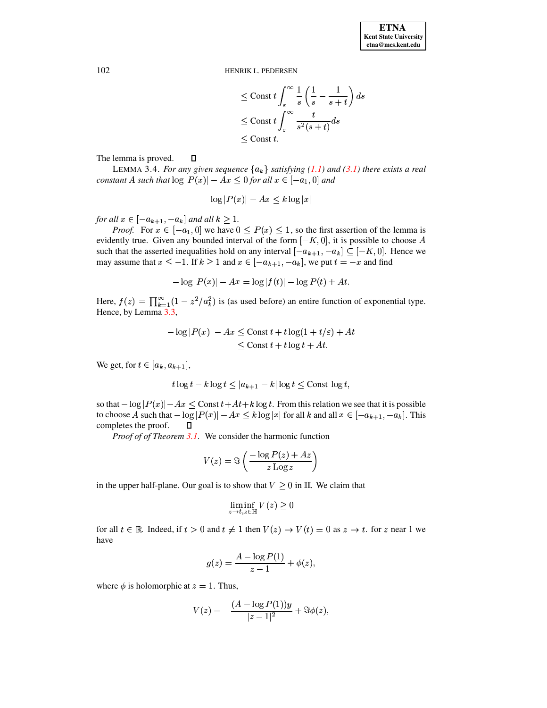$$
\leq \text{Const } t \int_{\varepsilon}^{\infty} \frac{1}{s} \left( \frac{1}{s} - \frac{1}{s+t} \right) ds
$$
  

$$
\leq \text{Const } t \int_{\varepsilon}^{\infty} \frac{t}{s^2(s+t)} ds
$$
  

$$
\leq \text{Const } t.
$$

 $\Box$ The lemma is proved.

LEMMA 3.4. *For any given sequence*  ${a_k}$  *satisfying* [\(1.1\)](#page-1-1) and [\(3.1\)](#page-7-0) *there exists a real*  $constant A$  such that  $\log |P(x)| - Ax \leq 0$  for all  $x \in [-a_1, 0]$  and

$$
\log |P(x)| - Ax \leq k \log |x|
$$

*for all*  $x \in [-a_{k+1}, -a_k]$  *and all*  $k \ge 1$ .

*Proof.* For  $x \in [-a_1, 0]$  we have  $0 \le P(x) \le 1$ , so the first assertion of the lemma is evidently true. Given any bounded interval of the form  $[-K, 0]$ , it is possible to choose A such that the asserted inequalities hold on any interval  $[-a_{k+1}, -a_k] \subseteq [-K, 0]$ . Hence we may assume that  $x \le -1$ . If  $k \ge 1$  and  $x \in [-a_{k+1}, -a_k]$ , we put  $t = -x$  and find

$$
-\log|P(x)|-Ax=\log|f(t)|-\log P(t)+At.
$$

Here,  $f(z) = \prod_{k=1}^{\infty} (1 - z^2/a_k^2)$  is (as used before) an entire function of exponential type. Hence, by Lemma [3.3,](#page-7-3)

$$
-\log|P(x)| - Ax \le \text{Const } t + t \log(1 + t/\varepsilon) + At
$$
  

$$
\le \text{Const } t + t \log t + At.
$$

We get, for  $t \in [a_k, a_{k+1}],$ 

$$
t\log t - k\log t \le |a_{k+1} - k| \log t \le \text{Const} \log t,
$$

so that  $-\log |P(x)| - Ax \leq$  Const  $t + At + k \log t$ . From this relation we see that it is possible to choose A such that  $-\log |P(x)| - Ax \le k \log |x|$  for all k and all  $x \in [-a_{k+1}, -a_k]$ . This completes the proof.  $\Box$ 

*Proof of of Theorem [3.1](#page-7-1)*. We consider the harmonic function

$$
V(z) = \Im\left(\frac{-\log P(z) + Az}{z \log z}\right)
$$

in the upper half-plane. Our goal is to show that  $V \geq 0$  in  $\mathbb{H}$ . We claim that

$$
\liminf_{z \to t, z \in \mathbb{H}} V(z) \ge 0
$$

for all  $t \in \mathbb{R}$ . Indeed, if  $t > 0$  and  $t \neq 1$  then  $V(z) \rightarrow V(t) = 0$  as  $z \rightarrow t$ . for z near 1 we have

$$
g(z)=\frac{A-\log P(1)}{z-1}+\phi(z),
$$

where  $\phi$  is holomorphic at  $z = 1$ . Thus,

$$
V(z) = -\frac{(A-\log P(1))y}{|z-1|^2} + \Im \phi(z),
$$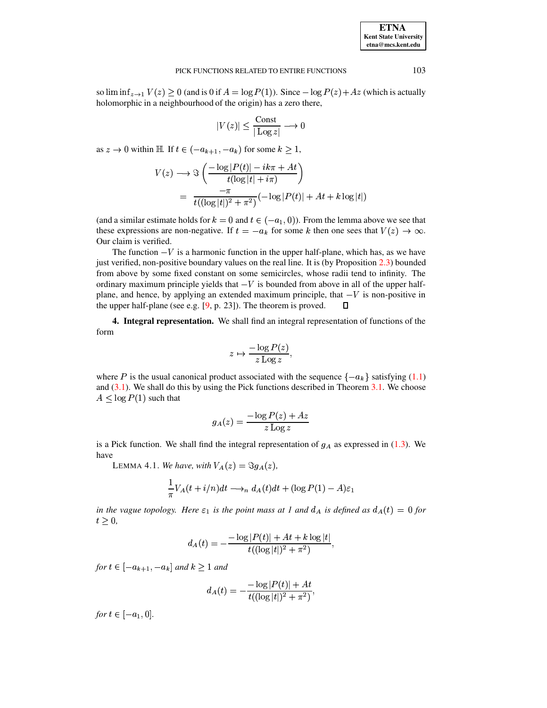## **ETNA Kent State University etna@mcs.kent.edu**

### PICK FUNCTIONS RELATED TO ENTIRE FUNCTIONS 103

so  $\liminf_{z\to 1} V(z) \ge 0$  (and is 0 if  $A = \log P(1)$ ). Since  $-\log P(z) + Az$  (which is actually holomorphic in a neighbourhood of the origin) has a zero there,

$$
|V(z)| \le \frac{\text{Const}}{|\text{Log } z|} \longrightarrow 0
$$

as  $z \to 0$  within H. If  $t \in (-a_{k+1}, -a_k)$  for some  $k \ge 1$ ,

$$
V(z) \longrightarrow \Im\left(\frac{-\log|P(t)| - ik\pi + At}{t(\log|t| + i\pi)}\right)
$$
  
= 
$$
\frac{-\pi}{t((\log|t|)^2 + \pi^2)}(-\log|P(t)| + At + k\log|t|)
$$

(and a similar estimate holds for  $k = 0$  and  $t \in (-a_1, 0)$ ). From the lemma above we see that these expressions are non-negative. If  $t = -a_k$  for some k then one sees that  $V(z) \to \infty$ . Our claim is verified.

The function  $-V$  is a harmonic function in the upper half-plane, which has, as we have just verified, non-positive boundary values on the real line. It is (by Proposition [2.3\)](#page-6-0) bounded from above by some fixed constant on some semicircles, whose radii tend to infinity. The ordinary maximum principle yields that  $-V$  is bounded from above in all of the upper halfplane, and hence, by applying an extended maximum principle, that  $-V$  is non-positive in the upper half-plane (see e.g. [\[9,](#page-18-8) p. 23]). The theorem is proved.  $\Box$ 

**4. Integral representation.** We shall find an integral representation of functions of the form

$$
z \mapsto \frac{-\log P(z)}{z \log z},
$$

where P is the usual canonical product associated with the sequence  $\{-a_k\}$  satisfying [\(1.1\)](#page-1-1) and  $(3.1)$ . We shall do this by using the Pick functions described in Theorem  $3.1$ . We choose  $A \leq \log P(1)$  such that

$$
g_A(z) = \frac{-\log P(z) + A z}{z \operatorname{Log} z}
$$

<span id="page-9-0"></span>is a Pick function. We shall find the integral representation of  $g_A$  as expressed in [\(1.3\)](#page-2-1). We have

LEMMA 4.1. *We have, with*  $V_A(z) = \Im g_A(z)$ ,

$$
\frac{1}{\pi}V_A(t+i/n)dt \longrightarrow_n d_A(t)dt + (\log P(1) - A)\varepsilon_1
$$

*in the vague topology. Here*  $\varepsilon_1$  *is the point mass at* 1 *and*  $d_A$  *is defined as*  $d_A(t) = 0$  *for*  $t \geq 0$ ,

$$
d_A(t) = -\frac{-\log |P(t)| + At + k \log |t|}{t((\log |t|)^2 + \pi^2)},
$$

*for*  $t \in [-a_{k+1}, -a_k]$  and  $k \ge 1$  and

$$
d_A(t) = -\frac{-\log|P(t)| + At}{t((\log|t|)^2 + \pi^2)},
$$

*for*  $t \in [-a_1, 0]$ .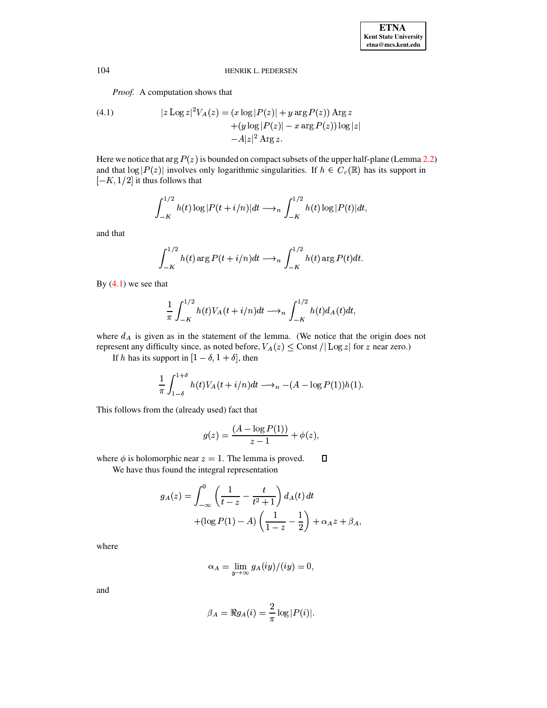*Proof.* A computation shows that

<span id="page-10-0"></span>(4.1) 
$$
|z \operatorname{Log} z|^2 V_A(z) = (x \operatorname{log} |P(z)| + y \operatorname{arg} P(z)) \operatorname{Arg} z + (y \operatorname{log} |P(z)| - x \operatorname{arg} P(z)) \operatorname{log} |z| -A|z|^2 \operatorname{Arg} z.
$$

Here we notice that  $\arg P(z)$  is bounded on compact subsets of the upper half-plane (Lemma [2.2\)](#page-4-0) and that  $\log |P(z)|$  involves only logarithmic singularities. If  $h \in C_c(\mathbb{R})$  has its support in  $[-K, 1/2]$  it thus follows that

$$
\int_{-K}^{1/2} h(t) \log |P(t + i/n)| dt \longrightarrow_n \int_{-K}^{1/2} h(t) \log |P(t)| dt,
$$

and that

$$
\int_{-K}^{1/2} h(t) \arg P(t + i/n) dt \longrightarrow_n \int_{-K}^{1/2} h(t) \arg P(t) dt.
$$

By  $(4.1)$  we see that

$$
\frac{1}{\pi} \int_{-K}^{1/2} h(t) V_A(t+i/n) dt \longrightarrow_n \int_{-K}^{1/2} h(t) d_A(t) dt,
$$

where  $d_A$  is given as in the statement of the lemma. (We notice that the origin does not represent any difficulty since, as noted before,  $V_A(z) \leq$  Const  $/|\text{Log } z|$  for  $z$  near zero.)

If h has its support in  $[1 - \delta, 1 + \delta]$ , then

$$
\frac{1}{\pi}\int_{1-\delta}^{1+\delta}h(t)V_A(t+i/n)dt\longrightarrow_n-(A-\log P(1))h(1).
$$

This follows from the (already used) fact that

$$
g(z) = \frac{(A - \log P(1))}{z - 1} + \phi(z),
$$

 $\Box$ where  $\phi$  is holomorphic near  $z = 1$ . The lemma is proved.

We have thus found the integral representation

$$
g_A(z) = \int_{-\infty}^0 \left( \frac{1}{t - z} - \frac{t}{t^2 + 1} \right) d_A(t) dt
$$
  
+ 
$$
(\log P(1) - A) \left( \frac{1}{1 - z} - \frac{1}{2} \right) + \alpha_A z + \beta_A,
$$

where

$$
\alpha_A = \lim_{y \to \infty} g_A(iy)/(iy) = 0,
$$

and

$$
\beta_A = \Re g_A(i) = \frac{2}{\pi} \log |P(i)|.
$$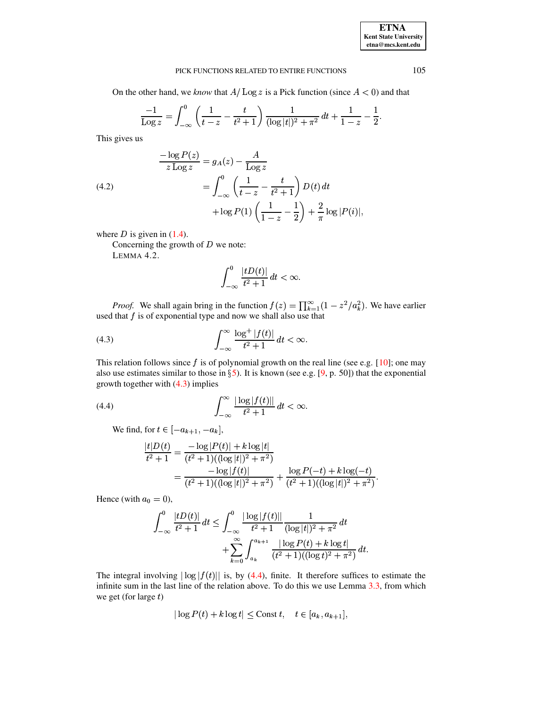## **ETNA Kent State University**  $etna@mcs. kent.edu$

#### PICK FUNCTIONS RELATED TO ENTIRE FUNCTIONS

On the other hand, we know that  $A/\text{Log } z$  is a Pick function (since  $A < 0$ ) and that

$$
\frac{-1}{\text{Log } z} = \int_{-\infty}^{0} \left( \frac{1}{t - z} - \frac{t}{t^2 + 1} \right) \frac{1}{(\log |t|)^2 + \pi^2} dt + \frac{1}{1 - z} - \frac{1}{2}.
$$

This gives us

<span id="page-11-2"></span>(4.2)  
\n
$$
\frac{-\log P(z)}{z \log z} = g_A(z) - \frac{A}{\log z}
$$
\n
$$
= \int_{-\infty}^{0} \left( \frac{1}{t - z} - \frac{t}{t^2 + 1} \right) D(t) dt + \log P(1) \left( \frac{1}{1 - z} - \frac{1}{2} \right) + \frac{2}{\pi} \log |P(i)|
$$

where  $D$  is given in (1.4).

Concerning the growth of  $D$  we note:

LEMMA 4.2.

<span id="page-11-3"></span><span id="page-11-0"></span>
$$
\int_{-\infty}^{0} \frac{|tD(t)|}{t^2 + 1} dt < \infty
$$

*Proof.* We shall again bring in the function  $f(z) = \prod_{k=1}^{\infty} (1 - z^2/a_k^2)$ . We have earlier used that  $f$  is of exponential type and now we shall also use that

$$
\int_{-\infty}^{\infty} \frac{\log^+|f(t)|}{t^2+1} dt < \infty.
$$

This relation follows since  $f$  is of polynomial growth on the real line (see e.g. [10]; one may also use estimates similar to those in  $\S$ 5). It is known (see e.g. [9, p. 50]) that the exponential growth together with  $(4.3)$  implies

<span id="page-11-1"></span>
$$
\int_{-\infty}^{\infty} \frac{|\log|f(t)||}{t^2 + 1} dt < \infty.
$$

We find, for  $t \in [-a_{k+1}, -a_k]$ ,

$$
\frac{|t|D(t)}{t^2+1} = \frac{-\log|P(t)| + k\log|t|}{(t^2+1)((\log|t|)^2 + \pi^2)} \n= \frac{-\log|f(t)|}{(t^2+1)((\log|t|)^2 + \pi^2)} + \frac{\log P(-t) + k\log(-t)}{(t^2+1)((\log|t|)^2 + \pi^2)}.
$$

Hence (with  $a_0 = 0$ ),

$$
\int_{-\infty}^{0} \frac{|tD(t)|}{t^2 + 1} dt \le \int_{-\infty}^{0} \frac{|\log|f(t)|}{t^2 + 1} \frac{1}{(\log|t|)^2 + \pi^2} dt
$$

$$
+ \sum_{k=0}^{\infty} \int_{a_k}^{a_{k+1}} \frac{|\log P(t) + k \log t|}{(t^2 + 1)((\log t)^2 + \pi^2)} dt
$$

The integral involving  $|\log |f(t)|$  is, by (4.4), finite. It therefore suffices to estimate the infinite sum in the last line of the relation above. To do this we use Lemma  $3.3$ , from which we get (for large  $t$ )

$$
|\log P(t) + k \log t| \leq \text{Const } t, \quad t \in [a_k, a_{k+1}],
$$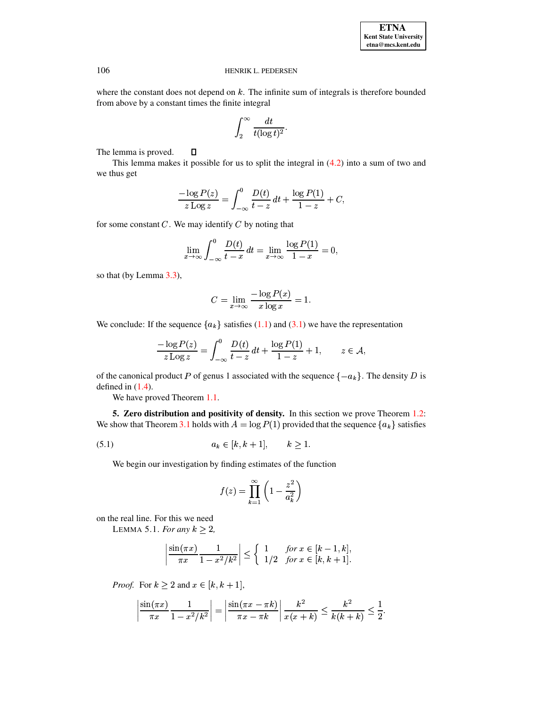where the constant does not depend on  $k$ . The infinite sum of integrals is therefore bounded from above by a constant times the finite integral

$$
\int_2^\infty \frac{dt}{t (\log t)^2}.
$$

 $\Box$ The lemma is proved.

This lemma makes it possible for us to split the integral in [\(4.2\)](#page-11-2) into a sum of two and we thus get

$$
\frac{-\log P(z)}{z \operatorname{Log} z} = \int_{-\infty}^{0} \frac{D(t)}{t - z} dt + \frac{\log P(1)}{1 - z} + C,
$$

for some constant  $C$ . We may identify  $C$  by noting that

$$
\lim_{x \to \infty} \int_{-\infty}^{0} \frac{D(t)}{t - x} dt = \lim_{x \to \infty} \frac{\log P(1)}{1 - x} = 0,
$$

so that (by Lemma [3.3\)](#page-7-3),

$$
C = \lim_{x \to \infty} \frac{-\log P(x)}{x \log x} = 1.
$$

We conclude: If the sequence  ${a_k}$  satisfies [\(1.1\)](#page-1-1) and [\(3.1\)](#page-7-0) we have the representation

$$
\frac{-\log P(z)}{z \log z} = \int_{-\infty}^{0} \frac{D(t)}{t - z} dt + \frac{\log P(1)}{1 - z} + 1, \qquad z \in \mathcal{A},
$$

of the canonical product P of genus 1 associated with the sequence  $\{-a_k\}$ . The density D is defined in  $(1.4)$ .

We have proved Theorem [1.1.](#page-2-0)

<span id="page-12-0"></span>**5. Zero distribution and positivity of density.** In this section we prove Theorem [1.2:](#page-3-0) We show that Theorem [3.1](#page-7-1) holds with  $A = \log P(1)$  provided that the sequence  $\{a_k\}$  satisfies

(5.1) 
$$
a_k \in [k, k+1], \quad k \ge 1.
$$

We begin our investigation by finding estimates of the function

<span id="page-12-1"></span>
$$
f(z) = \prod_{k=1}^{\infty} \left( 1 - \frac{z^2}{a_k^2} \right)
$$

on the real line. For this we need

LEMMA 5.1. *For any*  $k \geq 2$ ,

<span id="page-12-2"></span>
$$
\left|\frac{\sin(\pi x)}{\pi x}\frac{1}{1-x^2/k^2}\right| \le \begin{cases} 1 & \text{for } x \in [k-1, k], \\ 1/2 & \text{for } x \in [k, k+1]. \end{cases}
$$

*Proof.* For  $k \geq 2$  and  $x \in [k, k + 1]$ ,

$$
\left|\frac{\sin(\pi x)}{\pi x}\frac{1}{1-x^2/k^2}\right|=\left|\frac{\sin(\pi x-\pi k)}{\pi x-\pi k}\right|\frac{k^2}{x(x+k)}\leq \frac{k^2}{k(k+k)}\leq \frac{1}{2}.
$$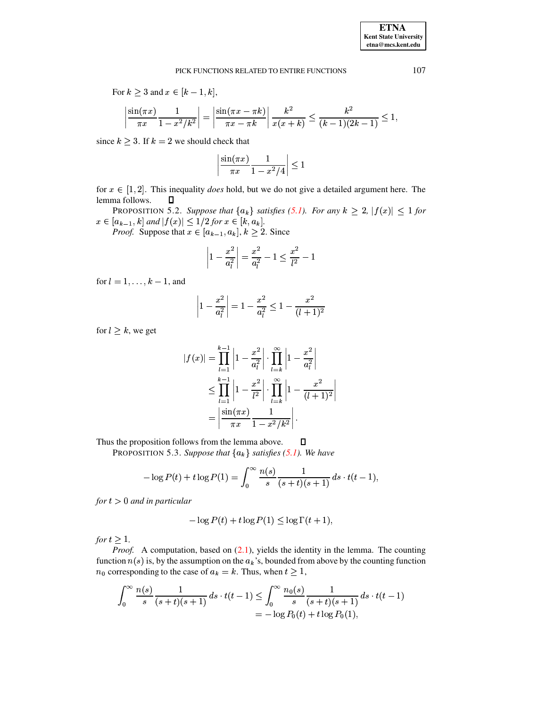## PICK FUNCTIONS RELATED TO ENTIRE FUNCTIONS 107

For  $k \geq 3$  and  $x \in [k-1, k]$ ,

$$
\left|\frac{\sin(\pi x)}{\pi x}\frac{1}{1-x^2/k^2}\right| = \left|\frac{\sin(\pi x - \pi k)}{\pi x - \pi k}\right|\frac{k^2}{x(x+k)} \le \frac{k^2}{(k-1)(2k-1)} \le 1,
$$

since  $k \geq 3$ . If  $k = 2$  we should check that

$$
\left|\frac{\sin(\pi x)}{\pi x}\frac{1}{1-x^2/4}\right|\leq 1
$$

<span id="page-13-0"></span>for  $x \in [1, 2]$ . This inequality *does* hold, but we do not give a detailed argument here. The lemma follows.

PROPOSITION 5.2. Suppose that  $\{a_k\}$  satisfies [\(5.1\)](#page-12-1). For any  $k \geq 2$ ,  $|f(x)| \leq 1$  for  $x \in [a_{k-1}, k]$  and  $|f(x)| \leq 1/2$  for  $x \in [k, a_k]$ .

 $[a_{k-1}, k]$  and  $|J(x)| \le 1/2$  for  $x \in [\kappa, a_k]$ .<br>*Proof.* Suppose that  $x \in [a_{k-1}, a_k]$ ,  $k \ge 2$ . Since

$$
\left|1-\frac{x^2}{a_l^2}\right|=\frac{x^2}{a_l^2}-1\leq \frac{x^2}{l^2}-1
$$

for  $l = 1, \ldots, k - 1$ , and

$$
\left|1-\frac{x^2}{a_l^2}\right| = 1-\frac{x^2}{a_l^2} \leq 1-\frac{x^2}{(l+1)^2}
$$

for  $l \geq k$ , we get

$$
|f(x)| = \prod_{l=1}^{k-1} \left| 1 - \frac{x^2}{a_l^2} \right| \cdot \prod_{l=k}^{\infty} \left| 1 - \frac{x^2}{a_l^2} \right|
$$
  

$$
\leq \prod_{l=1}^{k-1} \left| 1 - \frac{x^2}{l^2} \right| \cdot \prod_{l=k}^{\infty} \left| 1 - \frac{x^2}{(l+1)^2} \right|
$$
  

$$
= \left| \frac{\sin(\pi x)}{\pi x} \frac{1}{1 - x^2/k^2} \right|.
$$

<span id="page-13-1"></span>Thus the proposition follows from the lemma above.  $\blacksquare$ 

PROPOSITION 5.3. Suppose that  ${a_k}$  satisfies [\(5.1\)](#page-12-1). We have

$$
-\log P(t) + t \log P(1) = \int_0^\infty \frac{n(s)}{s} \frac{1}{(s+t)(s+1)} ds \cdot t(t-1),
$$

 $for t > 0$  *and in particular* 

$$
-\log P(t) + t \log P(1) \le \log \Gamma(t+1),
$$

*for*  $t \geq 1$ .

*Proof.* A computation, based on  $(2.1)$ , yields the identity in the lemma. The counting function  $n(s)$  is, by the assumption on the  $a_k$ 's, bounded from above by the counting function  $n_0$  corresponding to the case of  $a_k = k$ . Thus, when  $t \geq 1$ ,

$$
\int_0^\infty \frac{n(s)}{s} \frac{1}{(s+t)(s+1)} ds \cdot t(t-1) \le \int_0^\infty \frac{n_0(s)}{s} \frac{1}{(s+t)(s+1)} ds \cdot t(t-1)
$$
  
=  $-\log P_0(t) + t \log P_0(1),$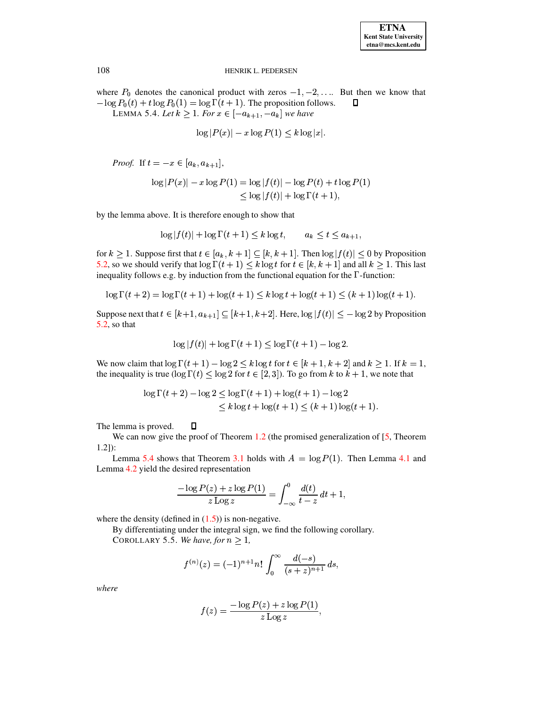<span id="page-14-0"></span>where  $P_0$  denotes the canonical product with zeros  $-1, -2, \dots$  But then we know that  $-\log P_0(t) + t \log P_0(1) = \log \Gamma(t+1)$ . The proposition follows.  $\Box$ 

LEMMA 5.4. Let  $k \geq 1$ . For  $x \in [-a_{k+1}, -a_k]$  we have

$$
\log |P(x)| - x \log P(1) \le k \log |x|.
$$

*Proof.* If  $t = -x \in [a_k, a_{k+1}],$ 

$$
\log |P(x)| - x \log P(1) = \log |f(t)| - \log P(t) + t \log P(1)
$$
  
\n
$$
\leq \log |f(t)| + \log \Gamma(t+1),
$$

by the lemma above. It is therefore enough to show that

$$
\log|f(t)| + \log\Gamma(t+1) \le k\log t, \qquad a_k \le t \le a_{k+1}
$$

for  $k \geq 1$ . Suppose first that  $t \in [a_k, k+1] \subseteq [k, k+1]$ . Then  $\log |f(t)| \leq 0$  by Proposition 5.2, so we should verify that  $\log \Gamma(t+1) \leq k \log t$  for  $t \in [k, k+1]$  and all  $k \geq 1$ . This last inequality follows e.g. by induction from the functional equation for the  $\Gamma$ -function:

$$
\log \Gamma(t+2) = \log \Gamma(t+1) + \log(t+1) \le k \log t + \log(t+1) \le (k+1) \log(t+1).
$$

Suppose next that  $t \in [k+1, a_{k+1}] \subseteq [k+1, k+2]$ . Here,  $\log |f(t)| \leq -\log 2$  by Proposition  $5.2$ , so that

$$
\log|f(t)| + \log\Gamma(t+1) \le \log\Gamma(t+1) - \log 2.
$$

We now claim that  $\log \Gamma(t+1) - \log 2 \leq k \log t$  for  $t \in [k+1, k+2]$  and  $k \geq 1$ . If  $k = 1$ , the inequality is true ( $\log \Gamma(t) \leq \log 2$  for  $t \in [2, 3]$ ). To go from k to  $k + 1$ , we note that

$$
\log \Gamma(t+2) - \log 2 \le \log \Gamma(t+1) + \log(t+1) - \log 2
$$
  

$$
\le k \log t + \log(t+1) \le (k+1) \log(t+1).
$$

The lemma is proved.  $\Box$ 

We can now give the proof of Theorem  $1.2$  (the promised generalization of [5, Theorem  $1.2]$ :

Lemma 5.4 shows that Theorem 3.1 holds with  $A = \log P(1)$ . Then Lemma 4.1 and Lemma 4.2 yield the desired representation

$$
\frac{-\log P(z) + z \log P(1)}{z \log z} = \int_{-\infty}^{0} \frac{d(t)}{t - z} dt + 1,
$$

where the density (defined in  $(1.5)$ ) is non-negative.

By differentiating under the integral sign, we find the following corollary.

COROLLARY 5.5. We have, for  $n \geq 1$ ,

$$
f^{(n)}(z) = (-1)^{n+1} n! \int_0^\infty \frac{d(-s)}{(s+z)^{n+1}} ds,
$$

where

$$
f(z) = \frac{-\log P(z) + z \log P(1)}{z \log z},
$$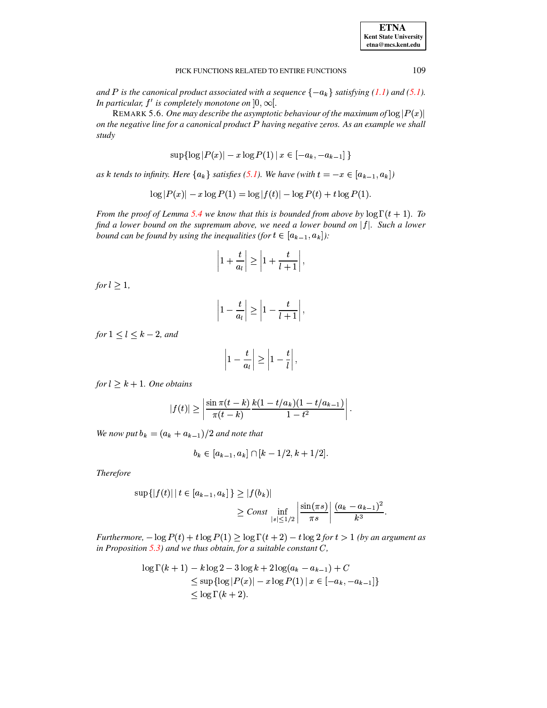*and*  $P$  *is the canonical product associated with a sequence*  $\{-a_k\}$  *satisfying* [\(1.1\)](#page-1-1) *and* [\(5.1\)](#page-12-1)*.* In particular,  $f'$  is completely monotone on  $]0,\infty[$ .

 $\alpha$  *settianareally monotone on*  $[0, \infty)$ .<br>REMARK 5.6. *One may describe the asymptotic behaviour of the maximum of*  $\log |P(x)|$ *on the negative line for a canonical product having negative zeros. As an example we shall study*

$$
\sup\left\{\log |P(x)|-x\log P(1)\,|\,x\in\left[-a_k,-a_{k-1}\right]\right\}
$$

*as*  $k$  *tends to infinity. Here*  ${a_k}$  *satisfies* [\(5.1\)](#page-12-1). We have (with  $t = -x \in [a_{k-1}, a_k]$ )

$$
\log |P(x)| - x \log P(1) = \log |f(t)| - \log P(t) + t \log P(1).
$$

*From the proof of Lemma [5.4](#page-14-0) we know that this is bounded from above by*  $\log \Gamma(t + 1)$ . *To find a lower bound on the supremum above, we need a lower bound on* ] *. Such a lower bound can be found by using the inequalities (for*  $t \in [a_{k-1}, a_k]$ *):* 

$$
\left|1+\frac{t}{a_l}\right| \ge \left|1+\frac{t}{l+1}\right|,
$$

 $for l \geq 1,$ 

$$
\left|1-\frac{t}{a_l}\right| \geq \left|1-\frac{t}{l+1}\right|,
$$

*for*  $1 \leq l \leq k-2$ *, and* 

$$
\left|1-\frac{t}{a_l}\right| \geq \left|1-\frac{t}{l}\right|,
$$

 $for$   $l \geq k+1$ . One obtains

$$
|f(t)| \ge \left| \frac{\sin \pi (t-k)}{\pi (t-k)} \frac{k(1-t/a_k)(1-t/a_{k-1})}{1-t^2} \right|.
$$

We now put  $b_k = (a_k + a_{k-1})/2$  and note that

$$
b_k \in [a_{k-1}, a_k] \cap [k-1/2, k+1/2].
$$

*Therefore*

$$
\sup\{|f(t)| \, | \, t \in [a_{k-1}, a_k]\} \ge |f(b_k)|
$$
  

$$
\ge Const \inf_{|s| \le 1/2} \left| \frac{\sin(\pi s)}{\pi s} \right| \frac{(a_k - a_{k-1})^2}{k^3}.
$$

*Furthermore,*  $-\log P(t) + t \log P(1) \ge \log \Gamma(t+2) - t \log 2$  for  $t > 1$  (by an argument as *in Proposition [5.3\)](#page-13-1) and we thus obtain, for a suitable constant* <sup>ß</sup>*,*

$$
\log \Gamma(k+1) - k \log 2 - 3 \log k + 2 \log(a_k - a_{k-1}) + C
$$
  
\$\leq\$ sup{log |P(x)| - x log P(1) | x ∈ [-a\_k, -a\_{k-1}]}  
\$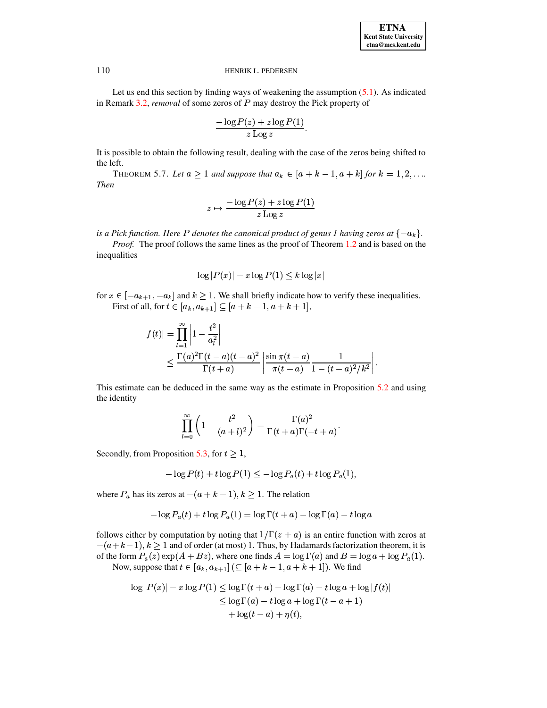Let us end this section by finding ways of weakening the assumption  $(5.1)$ . As indicated in Remark [3.2,](#page-7-4) *removal* of some zeros of P may destroy the Pick property of

$$
\frac{-\log P(z) + z \log P(1)}{z \log z}.
$$

<span id="page-16-0"></span>It is possible to obtain the following result, dealing with the case of the zeros being shifted to the left.

THEOREM 5.7. Let  $a \ge 1$  and suppose that  $a_k \in [a + k - 1, a + k]$  for  $k = 1, 2, ...$ *Then*

$$
z \mapsto \frac{-\log P(z) + z \log P(1)}{z \log z}
$$

 $i$ s a Pick function. Here P denotes the canonical product of genus 1 having zeros at  $\{-a_k\}.$ 

*Proof.* The proof follows the same lines as the proof of Theorem [1.2](#page-3-0) and is based on the inequalities

$$
\log|P(x)| - x\log P(1) \le k\log|x|
$$

for  $x \in [-a_{k+1}, -a_k]$  and  $k \ge 1$ . We shall briefly indicate how to verify these inequalities. First of all, for  $t \in [a_k, a_{k+1}] \subseteq [a+k-1, a+k+1]$ ,

$$
|f(t)| = \prod_{l=1}^{\infty} \left| 1 - \frac{t^2}{a_l^2} \right|
$$
  
\$\leq \frac{\Gamma(a)^2 \Gamma(t-a)(t-a)^2}{\Gamma(t+a)} \left| \frac{\sin \pi(t-a)}{\pi(t-a)} \frac{1}{1 - (t-a)^2/k^2} \right|.

This estimate can be deduced in the same way as the estimate in Proposition [5.2](#page-13-0) and using the identity

$$
\prod_{l=0}^{\infty}\left(1-\frac{t^2}{(a+l)^2}\right)=\frac{\Gamma(a)^2}{\Gamma(t+a)\Gamma(-t+a)}.
$$

Secondly, from Proposition [5.3,](#page-13-1) for  $t \geq 1$ ,

$$
-\log P(t) + t \log P(1) \leq -\log P_a(t) + t \log P_a(1),
$$

where  $P_a$  has its zeros at  $-(a+k-1), k \ge 1$ . The relation

$$
-\log P_a(t) + t \log P_a(1) = \log \Gamma(t+a) - \log \Gamma(a) - t \log a
$$

follows either by computation by noting that  $1/\Gamma(z + a)$  is an entire function with zeros at  $-(a+k-1), k \ge 1$  and of order (at most) 1. Thus, by Hadamards factorization theorem, it is of the form  $P_a(z) \exp(A + Bz)$ , where one finds  $A = \log \Gamma(a)$  and  $B = \log a + \log P_a(1)$ . Now, suppose that  $t \in [a_k, a_{k+1}] \, (\subseteq [a+k-1, a+k+1])$ . We find

$$
\log |P(x)| - x \log P(1) \le \log \Gamma(t + a) - \log \Gamma(a) - t \log a + \log |f(t)|
$$
  
\n
$$
\le \log \Gamma(a) - t \log a + \log \Gamma(t - a + 1)
$$
  
\n
$$
+ \log(t - a) + \eta(t),
$$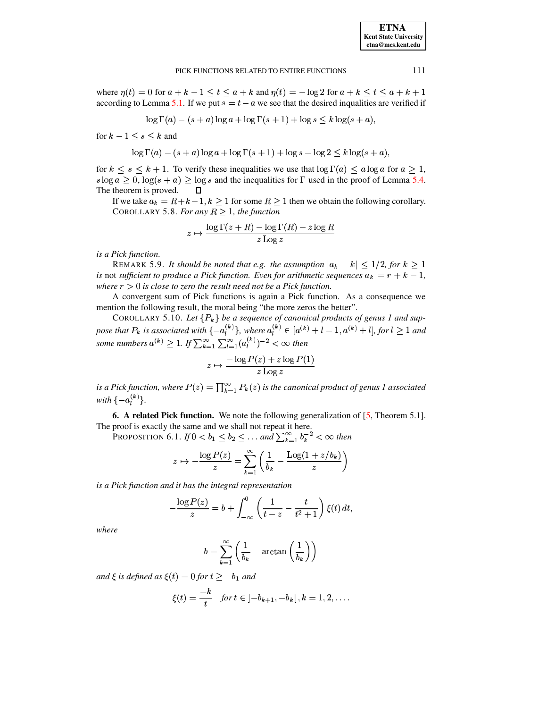#### PICK FUNCTIONS RELATED TO ENTIRE FUNCTIONS

where  $\eta(t) = 0$  for  $a + k - 1 \le t \le a + k$  and  $\eta(t) = -\log 2$  for  $a + k \le t \le a + k + 1$ according to Lemma 5.1. If we put  $s = t - a$  we see that the desired inqualities are verified if

$$
\log \Gamma(a) - (s+a)\log a + \log \Gamma(s+1) + \log s \le k\log(s+a)
$$

for  $k-1 \leq s \leq k$  and

$$
\log \Gamma(a) - (s+a) \log a + \log \Gamma(s+1) + \log s - \log 2 \leq k \log(s+a),
$$

for  $k \leq s \leq k+1$ . To verify these inequalities we use that  $\log \Gamma(a) \leq a \log a$  for  $a \geq 1$ ,  $s \log a \geq 0$ ,  $\log(s + a) \geq \log s$  and the inequalities for  $\Gamma$  used in the proof of Lemma 5.4. The theorem is proved. П

If we take  $a_k = R + k - 1$ ,  $k \ge 1$  for some  $R \ge 1$  then we obtain the following corollary. COROLLARY 5.8. For any  $R > 1$ , the function

$$
z \mapsto \frac{\log \Gamma(z+R) - \log \Gamma(R) - z \log R}{z \operatorname{Log} z}
$$

is a Pick function.

REMARK 5.9. It should be noted that e.g. the assumption  $|a_k - k| \leq 1/2$ , for  $k \geq 1$ is not sufficient to produce a Pick function. Even for arithmetic sequences  $a_k = r + k - 1$ , where  $r > 0$  is close to zero the result need not be a Pick function.

A convergent sum of Pick functions is again a Pick function. As a consequence we mention the following result, the moral being "the more zeros the better".

COROLLARY 5.10. Let  $\{P_k\}$  be a sequence of canonical products of genus 1 and suppose that  $P_k$  is associated with  $\{-a_l^{(k)}\}$ , where  $a_l^{(k)} \in [a^{(k)} + l - 1, a^{(k)} + l]$ , for  $l \ge 1$  and some numbers  $a^{(k)} \ge 1$ . If  $\sum_{k=1$ 

$$
z \mapsto \frac{-\log P(z) + z \log P(1)}{z \log z}
$$

is a Pick function, where  $P(z) = \prod_{k=1}^{\infty} P_k(z)$  is the canonical product of genus 1 associated with  $\{-a^{(k)}_l\}$ .

**6.** A related Pick function. We note the following generalization of  $[5,$  Theorem 5.1]. The proof is exactly the same and we shall not repeat it here.

PROPOSITION 6.1. If  $0 < b_1 \leq b_2 \leq \ldots$  and  $\sum_{k=1}^{\infty} b_k^{-2} < \infty$  then

$$
z \mapsto -\frac{\log P(z)}{z} = \sum_{k=1}^{\infty} \left( \frac{1}{b_k} - \frac{\text{Log}(1 + z/b_k)}{z} \right)
$$

is a Pick function and it has the integral representation

$$
-\frac{\log P(z)}{z} = b + \int_{-\infty}^{0} \left(\frac{1}{t-z} - \frac{t}{t^2+1}\right) \xi(t) dt,
$$

where

$$
b = \sum_{k=1}^{\infty} \left( \frac{1}{b_k} - \arctan\left(\frac{1}{b_k}\right) \right)
$$

and  $\xi$  is defined as  $\xi(t) = 0$  for  $t \ge -b_1$  and

$$
\xi(t) = \frac{-k}{t} \quad \text{for } t \in ]-b_{k+1}, -b_k[, k = 1, 2, \dots
$$